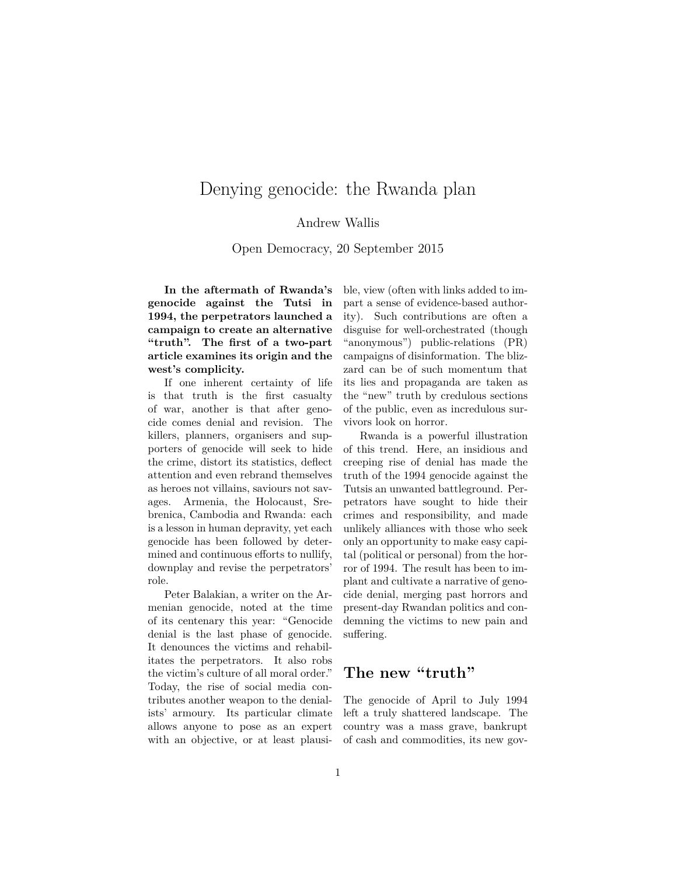# Denying genocide: the Rwanda plan

#### Andrew Wallis

Open Democracy, 20 September 2015

**In the aftermath of Rwanda's genocide against the Tutsi in 1994, the perpetrators launched a campaign to create an alternative "truth". The first of a two-part article examines its origin and the west's complicity.**

If one inherent certainty of life is that truth is the first casualty of war, another is that after genocide comes denial and revision. The killers, planners, organisers and supporters of genocide will seek to hide the crime, distort its statistics, deflect attention and even rebrand themselves as heroes not villains, saviours not savages. Armenia, the Holocaust, Srebrenica, Cambodia and Rwanda: each is a lesson in human depravity, yet each genocide has been followed by determined and continuous efforts to nullify, downplay and revise the perpetrators' role.

Peter Balakian, a writer on the Armenian genocide, noted at the time of its centenary this year: "Genocide denial is the last phase of genocide. It denounces the victims and rehabilitates the perpetrators. It also robs the victim's culture of all moral order." Today, the rise of social media contributes another weapon to the denialists' armoury. Its particular climate allows anyone to pose as an expert with an objective, or at least plausible, view (often with links added to impart a sense of evidence-based authority). Such contributions are often a disguise for well-orchestrated (though "anonymous") public-relations (PR) campaigns of disinformation. The blizzard can be of such momentum that its lies and propaganda are taken as the "new" truth by credulous sections of the public, even as incredulous survivors look on horror.

Rwanda is a powerful illustration of this trend. Here, an insidious and creeping rise of denial has made the truth of the 1994 genocide against the Tutsis an unwanted battleground. Perpetrators have sought to hide their crimes and responsibility, and made unlikely alliances with those who seek only an opportunity to make easy capital (political or personal) from the horror of 1994. The result has been to implant and cultivate a narrative of genocide denial, merging past horrors and present-day Rwandan politics and condemning the victims to new pain and suffering.

### **The new "truth"**

The genocide of April to July 1994 left a truly shattered landscape. The country was a mass grave, bankrupt of cash and commodities, its new gov-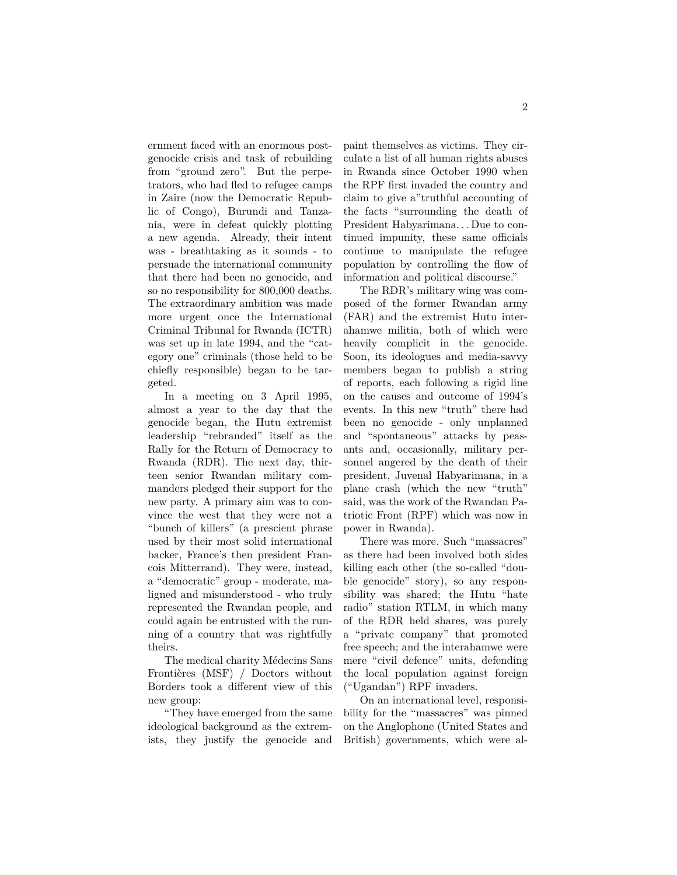ernment faced with an enormous postgenocide crisis and task of rebuilding from "ground zero". But the perpetrators, who had fled to refugee camps in Zaire (now the Democratic Republic of Congo), Burundi and Tanzania, were in defeat quickly plotting a new agenda. Already, their intent was - breathtaking as it sounds - to persuade the international community that there had been no genocide, and so no responsibility for 800,000 deaths. The extraordinary ambition was made more urgent once the International Criminal Tribunal for Rwanda (ICTR) was set up in late 1994, and the "category one" criminals (those held to be chiefly responsible) began to be targeted.

In a meeting on 3 April 1995, almost a year to the day that the genocide began, the Hutu extremist leadership "rebranded" itself as the Rally for the Return of Democracy to Rwanda (RDR). The next day, thirteen senior Rwandan military commanders pledged their support for the new party. A primary aim was to convince the west that they were not a "bunch of killers" (a prescient phrase used by their most solid international backer, France's then president Francois Mitterrand). They were, instead, a "democratic" group - moderate, maligned and misunderstood - who truly represented the Rwandan people, and could again be entrusted with the running of a country that was rightfully theirs.

The medical charity Médecins Sans Frontières (MSF) / Doctors without Borders took a different view of this new group:

"They have emerged from the same ideological background as the extremists, they justify the genocide and

paint themselves as victims. They circulate a list of all human rights abuses in Rwanda since October 1990 when the RPF first invaded the country and claim to give a"truthful accounting of the facts "surrounding the death of President Habyarimana. . . Due to continued impunity, these same officials continue to manipulate the refugee population by controlling the flow of information and political discourse."

The RDR's military wing was composed of the former Rwandan army (FAR) and the extremist Hutu interahamwe militia, both of which were heavily complicit in the genocide. Soon, its ideologues and media-savvy members began to publish a string of reports, each following a rigid line on the causes and outcome of 1994's events. In this new "truth" there had been no genocide - only unplanned and "spontaneous" attacks by peasants and, occasionally, military personnel angered by the death of their president, Juvenal Habyarimana, in a plane crash (which the new "truth" said, was the work of the Rwandan Patriotic Front (RPF) which was now in power in Rwanda).

There was more. Such "massacres" as there had been involved both sides killing each other (the so-called "double genocide" story), so any responsibility was shared; the Hutu "hate radio" station RTLM, in which many of the RDR held shares, was purely a "private company" that promoted free speech; and the interahamwe were mere "civil defence" units, defending the local population against foreign ("Ugandan") RPF invaders.

On an international level, responsibility for the "massacres" was pinned on the Anglophone (United States and British) governments, which were al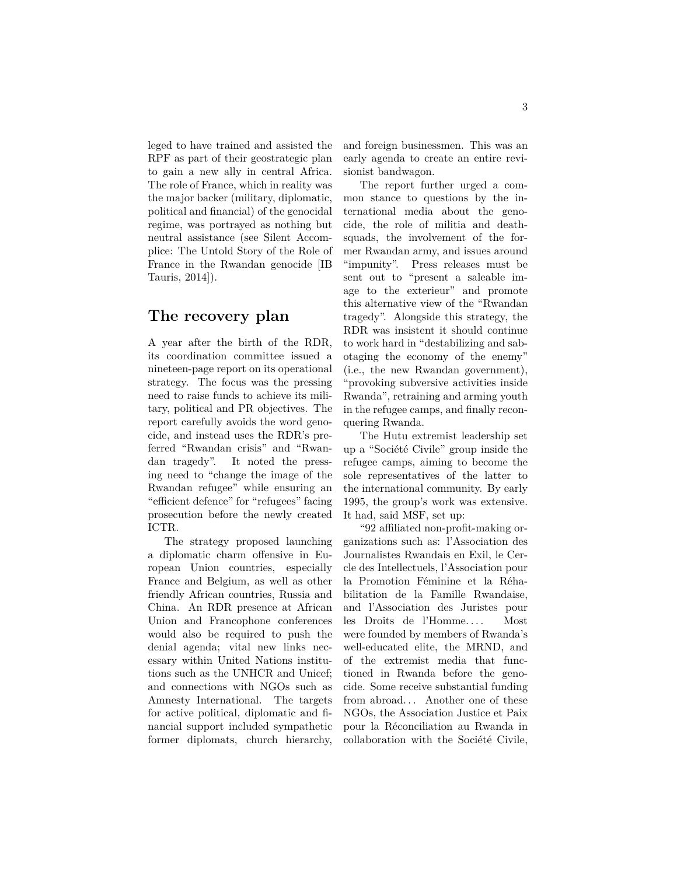leged to have trained and assisted the RPF as part of their geostrategic plan to gain a new ally in central Africa. The role of France, which in reality was the major backer (military, diplomatic, political and financial) of the genocidal regime, was portrayed as nothing but neutral assistance (see Silent Accomplice: The Untold Story of the Role of France in the Rwandan genocide [IB Tauris, 2014]).

#### **The recovery plan**

A year after the birth of the RDR, its coordination committee issued a nineteen-page report on its operational strategy. The focus was the pressing need to raise funds to achieve its military, political and PR objectives. The report carefully avoids the word genocide, and instead uses the RDR's preferred "Rwandan crisis" and "Rwandan tragedy". It noted the pressing need to "change the image of the Rwandan refugee" while ensuring an "efficient defence" for "refugees" facing prosecution before the newly created ICTR.

The strategy proposed launching a diplomatic charm offensive in European Union countries, especially France and Belgium, as well as other friendly African countries, Russia and China. An RDR presence at African Union and Francophone conferences would also be required to push the denial agenda; vital new links necessary within United Nations institutions such as the UNHCR and Unicef; and connections with NGOs such as Amnesty International. The targets for active political, diplomatic and financial support included sympathetic former diplomats, church hierarchy,

and foreign businessmen. This was an early agenda to create an entire revisionist bandwagon.

The report further urged a common stance to questions by the international media about the genocide, the role of militia and deathsquads, the involvement of the former Rwandan army, and issues around "impunity". Press releases must be sent out to "present a saleable image to the exterieur" and promote this alternative view of the "Rwandan tragedy". Alongside this strategy, the RDR was insistent it should continue to work hard in "destabilizing and sabotaging the economy of the enemy" (i.e., the new Rwandan government), "provoking subversive activities inside Rwanda", retraining and arming youth in the refugee camps, and finally reconquering Rwanda.

The Hutu extremist leadership set up a "Société Civile" group inside the refugee camps, aiming to become the sole representatives of the latter to the international community. By early 1995, the group's work was extensive. It had, said MSF, set up:

"92 affiliated non-profit-making organizations such as: l'Association des Journalistes Rwandais en Exil, le Cercle des Intellectuels, l'Association pour la Promotion Féminine et la Réhabilitation de la Famille Rwandaise, and l'Association des Juristes pour les Droits de l'Homme. . . . Most were founded by members of Rwanda's well-educated elite, the MRND, and of the extremist media that functioned in Rwanda before the genocide. Some receive substantial funding from abroad. . . Another one of these NGOs, the Association Justice et Paix pour la Réconciliation au Rwanda in collaboration with the Société Civile,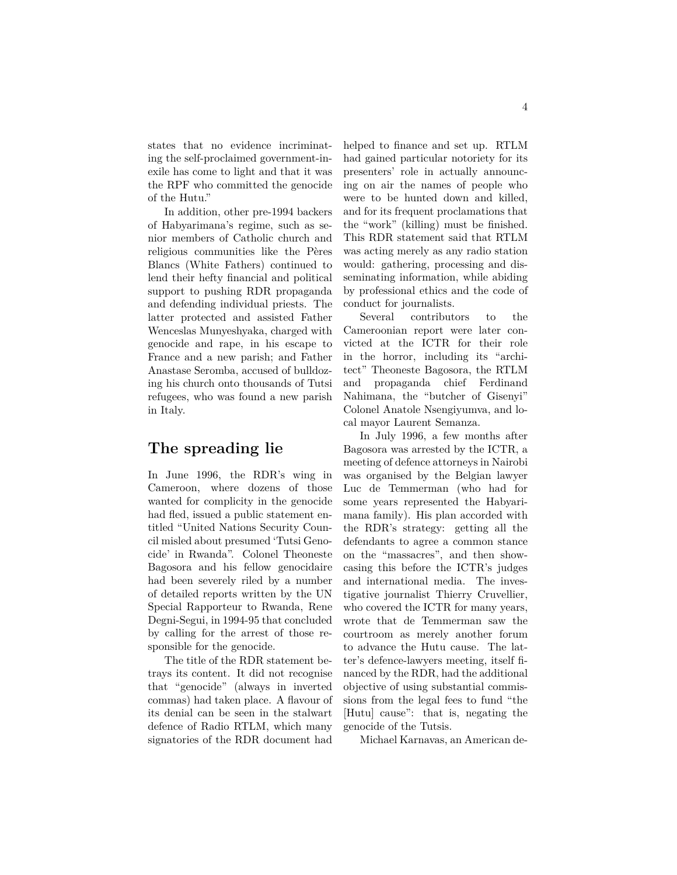states that no evidence incriminating the self-proclaimed government-inexile has come to light and that it was the RPF who committed the genocide of the Hutu."

In addition, other pre-1994 backers of Habyarimana's regime, such as senior members of Catholic church and religious communities like the Pères Blancs (White Fathers) continued to lend their hefty financial and political support to pushing RDR propaganda and defending individual priests. The latter protected and assisted Father Wenceslas Munyeshyaka, charged with genocide and rape, in his escape to France and a new parish; and Father Anastase Seromba, accused of bulldozing his church onto thousands of Tutsi refugees, who was found a new parish in Italy.

## **The spreading lie**

In June 1996, the RDR's wing in Cameroon, where dozens of those wanted for complicity in the genocide had fled, issued a public statement entitled "United Nations Security Council misled about presumed 'Tutsi Genocide' in Rwanda". Colonel Theoneste Bagosora and his fellow genocidaire had been severely riled by a number of detailed reports written by the UN Special Rapporteur to Rwanda, Rene Degni-Segui, in 1994-95 that concluded by calling for the arrest of those responsible for the genocide.

The title of the RDR statement betrays its content. It did not recognise that "genocide" (always in inverted commas) had taken place. A flavour of its denial can be seen in the stalwart defence of Radio RTLM, which many signatories of the RDR document had

helped to finance and set up. RTLM had gained particular notoriety for its presenters' role in actually announcing on air the names of people who were to be hunted down and killed, and for its frequent proclamations that the "work" (killing) must be finished. This RDR statement said that RTLM was acting merely as any radio station would: gathering, processing and disseminating information, while abiding by professional ethics and the code of conduct for journalists.

Several contributors to the Cameroonian report were later convicted at the ICTR for their role in the horror, including its "architect" Theoneste Bagosora, the RTLM and propaganda chief Ferdinand Nahimana, the "butcher of Gisenyi" Colonel Anatole Nsengiyumva, and local mayor Laurent Semanza.

In July 1996, a few months after Bagosora was arrested by the ICTR, a meeting of defence attorneys in Nairobi was organised by the Belgian lawyer Luc de Temmerman (who had for some years represented the Habyarimana family). His plan accorded with the RDR's strategy: getting all the defendants to agree a common stance on the "massacres", and then showcasing this before the ICTR's judges and international media. The investigative journalist Thierry Cruvellier, who covered the ICTR for many years, wrote that de Temmerman saw the courtroom as merely another forum to advance the Hutu cause. The latter's defence-lawyers meeting, itself financed by the RDR, had the additional objective of using substantial commissions from the legal fees to fund "the [Hutu] cause": that is, negating the genocide of the Tutsis.

Michael Karnavas, an American de-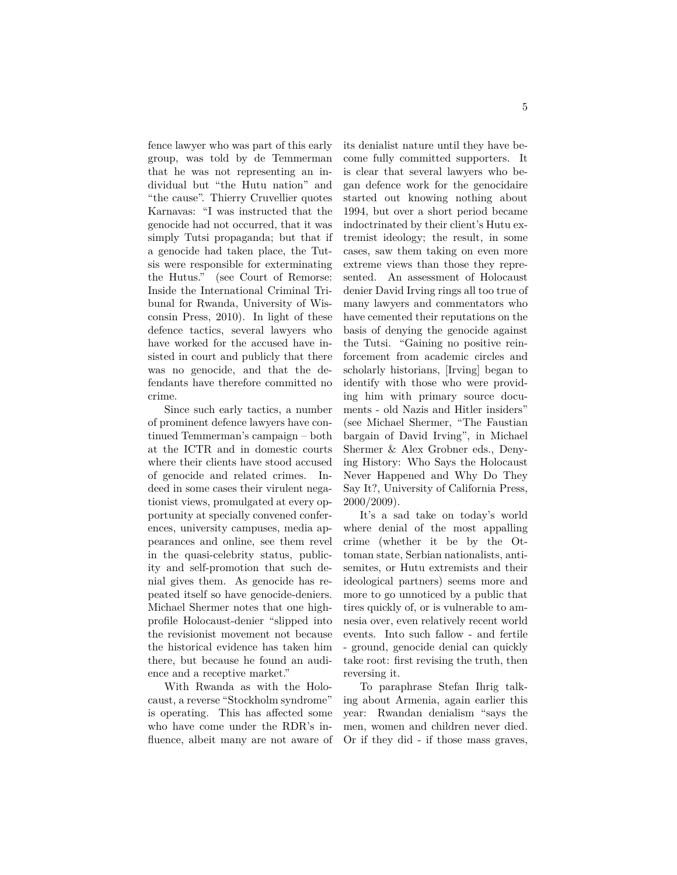fence lawyer who was part of this early group, was told by de Temmerman that he was not representing an individual but "the Hutu nation" and "the cause". Thierry Cruvellier quotes Karnavas: "I was instructed that the genocide had not occurred, that it was simply Tutsi propaganda; but that if a genocide had taken place, the Tutsis were responsible for exterminating the Hutus." (see Court of Remorse: Inside the International Criminal Tribunal for Rwanda, University of Wisconsin Press, 2010). In light of these defence tactics, several lawyers who have worked for the accused have insisted in court and publicly that there was no genocide, and that the defendants have therefore committed no crime.

Since such early tactics, a number of prominent defence lawyers have continued Temmerman's campaign – both at the ICTR and in domestic courts where their clients have stood accused of genocide and related crimes. Indeed in some cases their virulent negationist views, promulgated at every opportunity at specially convened conferences, university campuses, media appearances and online, see them revel in the quasi-celebrity status, publicity and self-promotion that such denial gives them. As genocide has repeated itself so have genocide-deniers. Michael Shermer notes that one highprofile Holocaust-denier "slipped into the revisionist movement not because the historical evidence has taken him there, but because he found an audience and a receptive market."

With Rwanda as with the Holocaust, a reverse "Stockholm syndrome" is operating. This has affected some who have come under the RDR's influence, albeit many are not aware of its denialist nature until they have become fully committed supporters. It is clear that several lawyers who began defence work for the genocidaire started out knowing nothing about 1994, but over a short period became indoctrinated by their client's Hutu extremist ideology; the result, in some cases, saw them taking on even more extreme views than those they represented. An assessment of Holocaust denier David Irving rings all too true of many lawyers and commentators who have cemented their reputations on the basis of denying the genocide against the Tutsi. "Gaining no positive reinforcement from academic circles and scholarly historians, [Irving] began to identify with those who were providing him with primary source documents - old Nazis and Hitler insiders" (see Michael Shermer, "The Faustian bargain of David Irving", in Michael Shermer & Alex Grobner eds., Denying History: Who Says the Holocaust Never Happened and Why Do They Say It?, University of California Press, 2000/2009).

It's a sad take on today's world where denial of the most appalling crime (whether it be by the Ottoman state, Serbian nationalists, antisemites, or Hutu extremists and their ideological partners) seems more and more to go unnoticed by a public that tires quickly of, or is vulnerable to amnesia over, even relatively recent world events. Into such fallow - and fertile - ground, genocide denial can quickly take root: first revising the truth, then reversing it.

To paraphrase Stefan Ihrig talking about Armenia, again earlier this year: Rwandan denialism "says the men, women and children never died. Or if they did - if those mass graves,